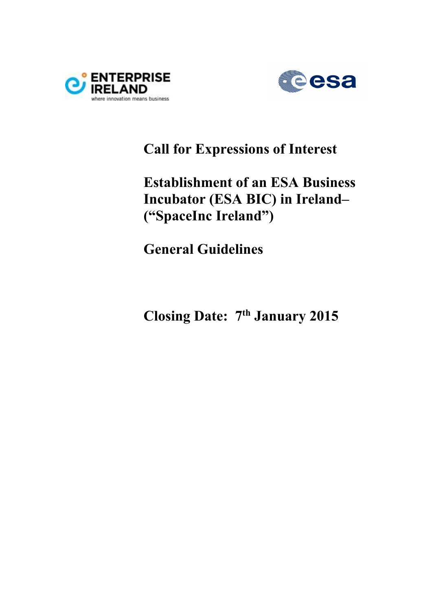



## **Call for Expressions of Interest**

# **Establishment of an ESA Business Incubator (ESA BIC) in Ireland– ("SpaceInc Ireland")**

**General Guidelines** 

**Closing Date: 7th January 2015**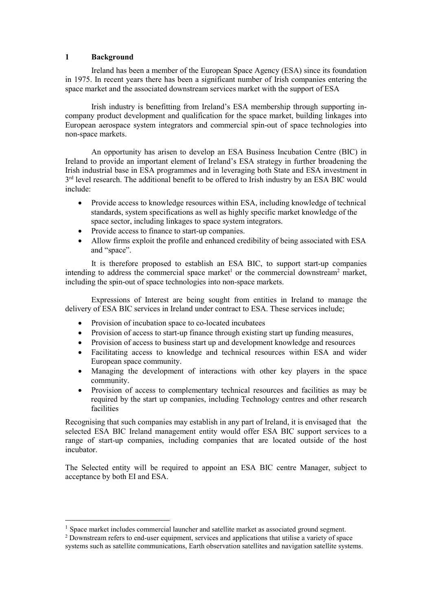#### **1 Background**

 $\overline{a}$ 

Ireland has been a member of the European Space Agency (ESA) since its foundation in 1975. In recent years there has been a significant number of Irish companies entering the space market and the associated downstream services market with the support of ESA

Irish industry is benefitting from Ireland's ESA membership through supporting incompany product development and qualification for the space market, building linkages into European aerospace system integrators and commercial spin-out of space technologies into non-space markets.

An opportunity has arisen to develop an ESA Business Incubation Centre (BIC) in Ireland to provide an important element of Ireland's ESA strategy in further broadening the Irish industrial base in ESA programmes and in leveraging both State and ESA investment in 3<sup>rd</sup> level research. The additional benefit to be offered to Irish industry by an ESA BIC would include:

- Provide access to knowledge resources within ESA, including knowledge of technical standards, system specifications as well as highly specific market knowledge of the space sector, including linkages to space system integrators.
- Provide access to finance to start-up companies.
- Allow firms exploit the profile and enhanced credibility of being associated with ESA and "space".

It is therefore proposed to establish an ESA BIC, to support start-up companies intending to address the commercial space market<sup>1</sup> or the commercial downstream<sup>2</sup> market, including the spin-out of space technologies into non-space markets.

Expressions of Interest are being sought from entities in Ireland to manage the delivery of ESA BIC services in Ireland under contract to ESA. These services include;

- Provision of incubation space to co-located incubatees
- Provision of access to start-up finance through existing start up funding measures,
- Provision of access to business start up and development knowledge and resources
- Facilitating access to knowledge and technical resources within ESA and wider European space community.
- Managing the development of interactions with other key players in the space community.
- Provision of access to complementary technical resources and facilities as may be required by the start up companies, including Technology centres and other research facilities

Recognising that such companies may establish in any part of Ireland, it is envisaged that the selected ESA BIC Ireland management entity would offer ESA BIC support services to a range of start-up companies, including companies that are located outside of the host incubator.

The Selected entity will be required to appoint an ESA BIC centre Manager, subject to acceptance by both EI and ESA.

 $<sup>1</sup>$  Space market includes commercial launcher and satellite market as associated ground segment.</sup>

<sup>&</sup>lt;sup>2</sup> Downstream refers to end-user equipment, services and applications that utilise a variety of space systems such as satellite communications, Earth observation satellites and navigation satellite systems.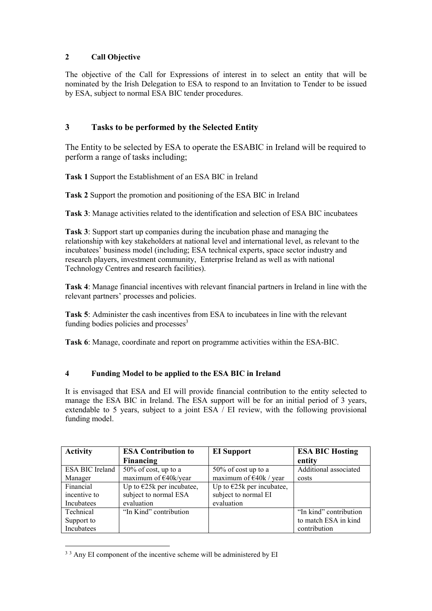## **2 Call Objective**

The objective of the Call for Expressions of interest in to select an entity that will be nominated by the Irish Delegation to ESA to respond to an Invitation to Tender to be issued by ESA, subject to normal ESA BIC tender procedures.

## **3 Tasks to be performed by the Selected Entity**

The Entity to be selected by ESA to operate the ESABIC in Ireland will be required to perform a range of tasks including;

**Task 1** Support the Establishment of an ESA BIC in Ireland

**Task 2** Support the promotion and positioning of the ESA BIC in Ireland

**Task 3**: Manage activities related to the identification and selection of ESA BIC incubatees

**Task 3**: Support start up companies during the incubation phase and managing the relationship with key stakeholders at national level and international level, as relevant to the incubatees' business model (including; ESA technical experts, space sector industry and research players, investment community, Enterprise Ireland as well as with national Technology Centres and research facilities).

**Task 4**: Manage financial incentives with relevant financial partners in Ireland in line with the relevant partners' processes and policies.

**Task 5**: Administer the cash incentives from ESA to incubatees in line with the relevant funding bodies policies and processes<sup>3</sup>

**Task 6**: Manage, coordinate and report on programme activities within the ESA-BIC.

## **4 Funding Model to be applied to the ESA BIC in Ireland**

It is envisaged that ESA and EI will provide financial contribution to the entity selected to manage the ESA BIC in Ireland. The ESA support will be for an initial period of 3 years, extendable to 5 years, subject to a joint  $ESA / EI$  review, with the following provisional funding model.

| <b>Activity</b> | <b>ESA Contribution to</b>  | <b>EI</b> Support                | <b>ESA BIC Hosting</b> |
|-----------------|-----------------------------|----------------------------------|------------------------|
|                 | Financing                   |                                  | entity                 |
| ESA BIC Ireland | 50% of cost, up to a        | 50% of cost up to a              | Additional associated  |
| Manager         | maximum of $E40k/year$      | maximum of $\epsilon$ 40k / year | costs                  |
| Financial       | Up to $E25k$ per incubatee, | Up to $E25k$ per incubatee,      |                        |
| incentive to    | subject to normal ESA       | subject to normal EI             |                        |
| Incubatees      | evaluation                  | evaluation                       |                        |
| Technical       | "In Kind" contribution      |                                  | "In kind" contribution |
| Support to      |                             |                                  | to match ESA in kind   |
| Incubatees      |                             |                                  | contribution           |

 $\overline{a}$ <sup>3</sup> 3 Any EI component of the incentive scheme will be administered by EI